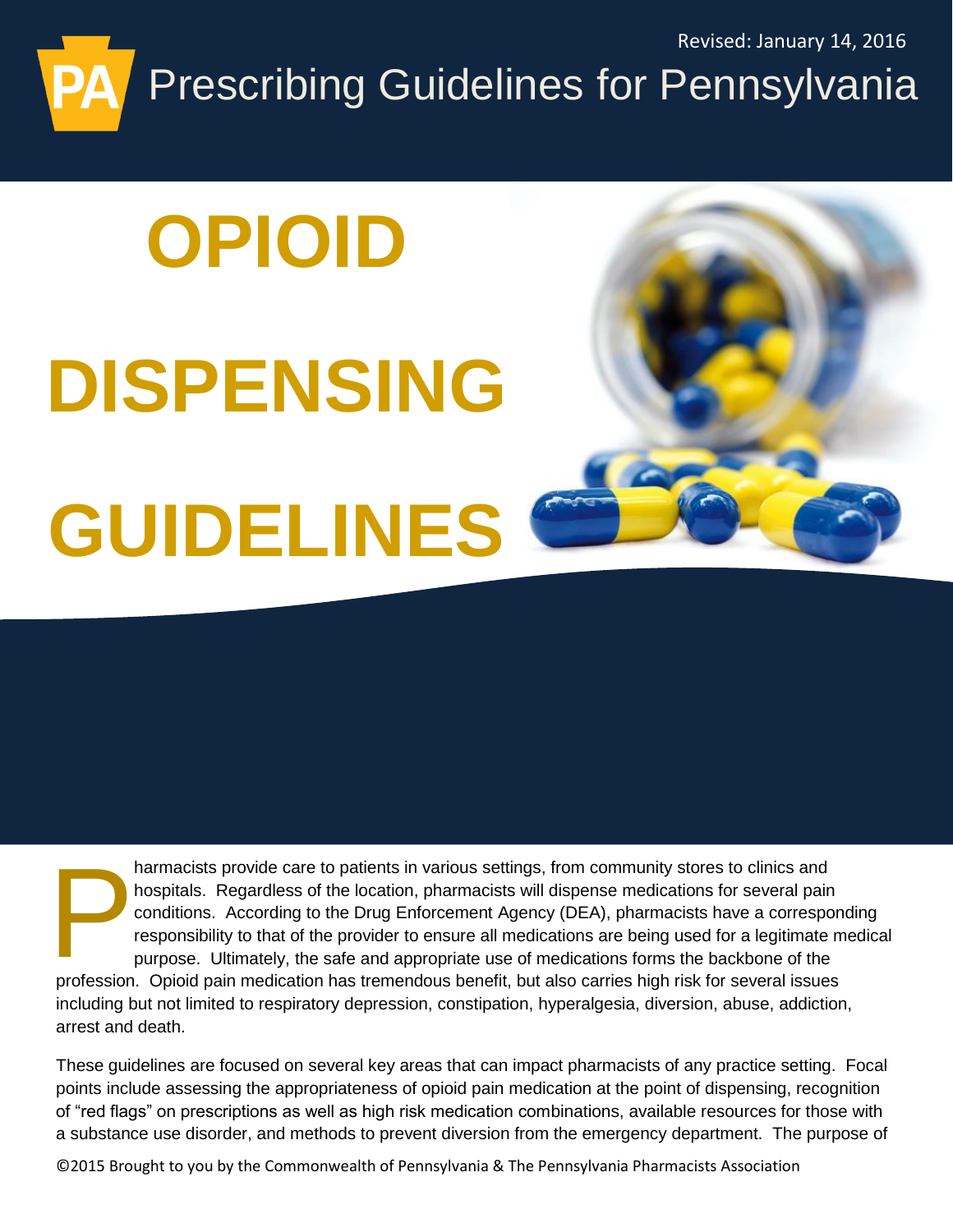Revised: January 14, 2016

# Prescribing Guidelines for Pennsylvania

# **OPIOID DISPENSING GUIDELINES**

harmacists provide care to patients in various settings, from community stores to clinics and hospitals. Regardless of the location, pharmacists will dispense medications for several pain conditions. According to the Drug Enforcement Agency (DEA), pharmacists have a corresponding responsibility to that of the provider to ensure all medications are being used for a legitimate medical purpose. Ultimately, the safe and appropriate use of medications forms the backbone of the profession. Opioid pain medication has tremendous benefit, but also carries high risk for several issues including but not limited to respiratory depression, constipation, hyperalgesia, diversion, abuse, addiction, arrest and death. **P** 

These guidelines are focused on several key areas that can impact pharmacists of any practice setting. Focal points include assessing the appropriateness of opioid pain medication at the point of dispensing, recognition of "red flags" on prescriptions as well as high risk medication combinations, available resources for those with a substance use disorder, and methods to prevent diversion from the emergency department. The purpose of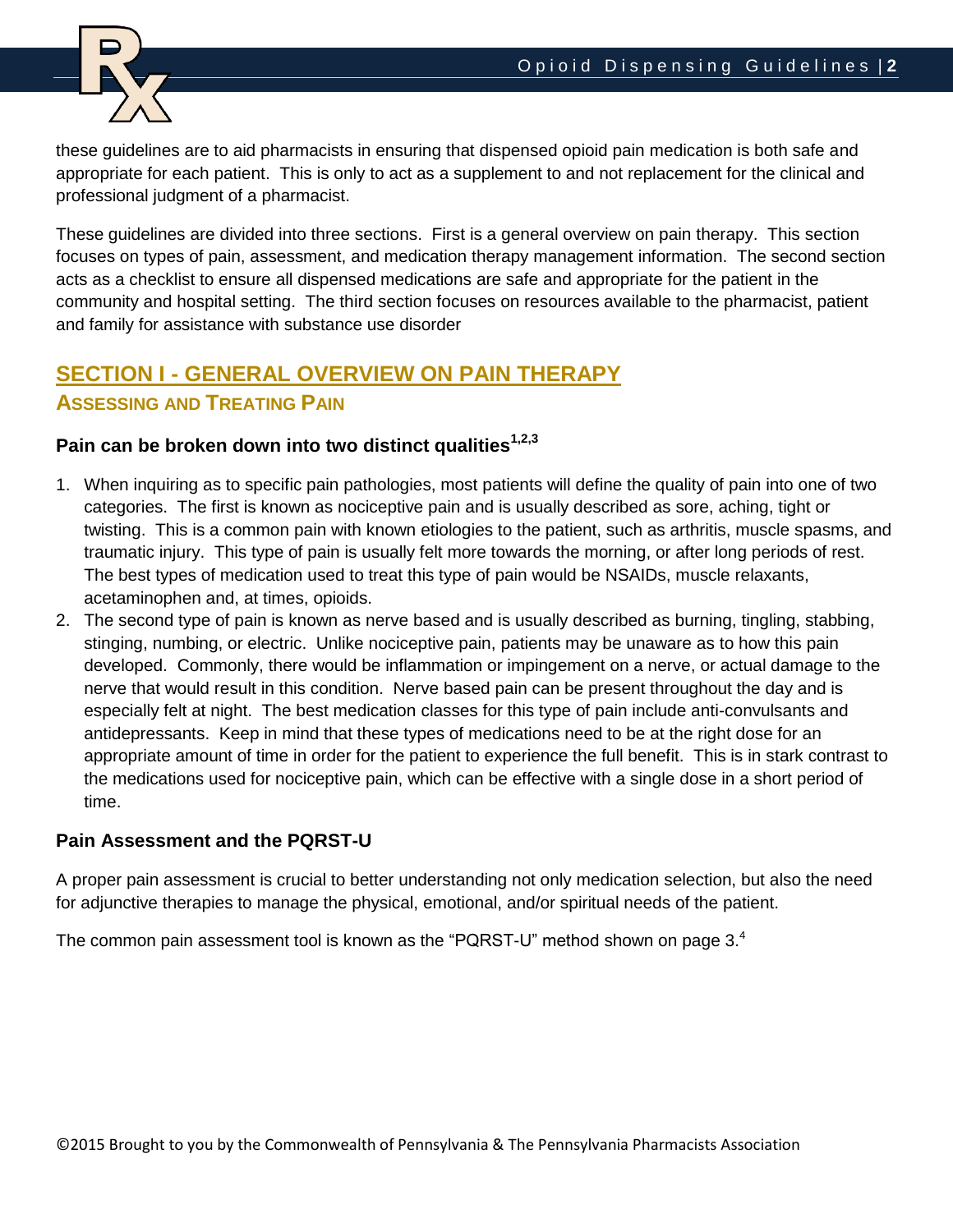

these guidelines are to aid pharmacists in ensuring that dispensed opioid pain medication is both safe and appropriate for each patient. This is only to act as a supplement to and not replacement for the clinical and professional judgment of a pharmacist.

These guidelines are divided into three sections. First is a general overview on pain therapy. This section focuses on types of pain, assessment, and medication therapy management information. The second section acts as a checklist to ensure all dispensed medications are safe and appropriate for the patient in the community and hospital setting. The third section focuses on resources available to the pharmacist, patient and family for assistance with substance use disorder

# **SECTION I - GENERAL OVERVIEW ON PAIN THERAPY ASSESSING AND TREATING PAIN**

#### **Pain can be broken down into two distinct qualities1,2,3**

- 1. When inquiring as to specific pain pathologies, most patients will define the quality of pain into one of two categories. The first is known as nociceptive pain and is usually described as sore, aching, tight or twisting. This is a common pain with known etiologies to the patient, such as arthritis, muscle spasms, and traumatic injury. This type of pain is usually felt more towards the morning, or after long periods of rest. The best types of medication used to treat this type of pain would be NSAIDs, muscle relaxants, acetaminophen and, at times, opioids.
- 2. The second type of pain is known as nerve based and is usually described as burning, tingling, stabbing, stinging, numbing, or electric. Unlike nociceptive pain, patients may be unaware as to how this pain developed. Commonly, there would be inflammation or impingement on a nerve, or actual damage to the nerve that would result in this condition. Nerve based pain can be present throughout the day and is especially felt at night. The best medication classes for this type of pain include anti-convulsants and antidepressants. Keep in mind that these types of medications need to be at the right dose for an appropriate amount of time in order for the patient to experience the full benefit. This is in stark contrast to the medications used for nociceptive pain, which can be effective with a single dose in a short period of time.

#### **Pain Assessment and the PQRST-U**

A proper pain assessment is crucial to better understanding not only medication selection, but also the need for adjunctive therapies to manage the physical, emotional, and/or spiritual needs of the patient.

The common pain assessment tool is known as the "PQRST-U" method shown on page 3. $^4$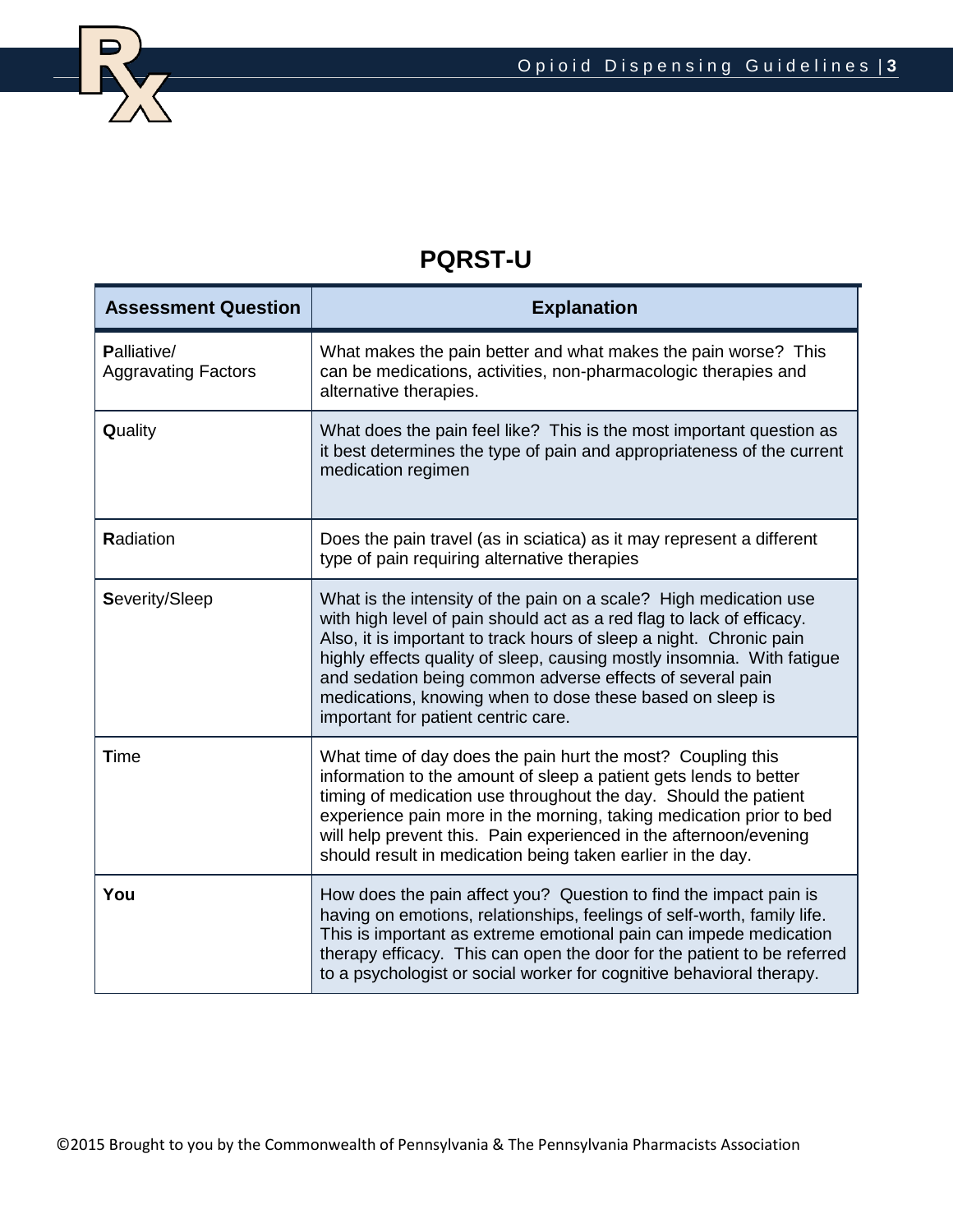

# **PQRST-U**

| <b>Assessment Question</b>                | <b>Explanation</b>                                                                                                                                                                                                                                                                                                                                                                                                                                           |
|-------------------------------------------|--------------------------------------------------------------------------------------------------------------------------------------------------------------------------------------------------------------------------------------------------------------------------------------------------------------------------------------------------------------------------------------------------------------------------------------------------------------|
| Palliative/<br><b>Aggravating Factors</b> | What makes the pain better and what makes the pain worse? This<br>can be medications, activities, non-pharmacologic therapies and<br>alternative therapies.                                                                                                                                                                                                                                                                                                  |
| Quality                                   | What does the pain feel like? This is the most important question as<br>it best determines the type of pain and appropriateness of the current<br>medication regimen                                                                                                                                                                                                                                                                                         |
| Radiation                                 | Does the pain travel (as in sciatica) as it may represent a different<br>type of pain requiring alternative therapies                                                                                                                                                                                                                                                                                                                                        |
| Severity/Sleep                            | What is the intensity of the pain on a scale? High medication use<br>with high level of pain should act as a red flag to lack of efficacy.<br>Also, it is important to track hours of sleep a night. Chronic pain<br>highly effects quality of sleep, causing mostly insomnia. With fatigue<br>and sedation being common adverse effects of several pain<br>medications, knowing when to dose these based on sleep is<br>important for patient centric care. |
| <b>Time</b>                               | What time of day does the pain hurt the most? Coupling this<br>information to the amount of sleep a patient gets lends to better<br>timing of medication use throughout the day. Should the patient<br>experience pain more in the morning, taking medication prior to bed<br>will help prevent this. Pain experienced in the afternoon/evening<br>should result in medication being taken earlier in the day.                                               |
| You                                       | How does the pain affect you? Question to find the impact pain is<br>having on emotions, relationships, feelings of self-worth, family life.<br>This is important as extreme emotional pain can impede medication<br>therapy efficacy. This can open the door for the patient to be referred<br>to a psychologist or social worker for cognitive behavioral therapy.                                                                                         |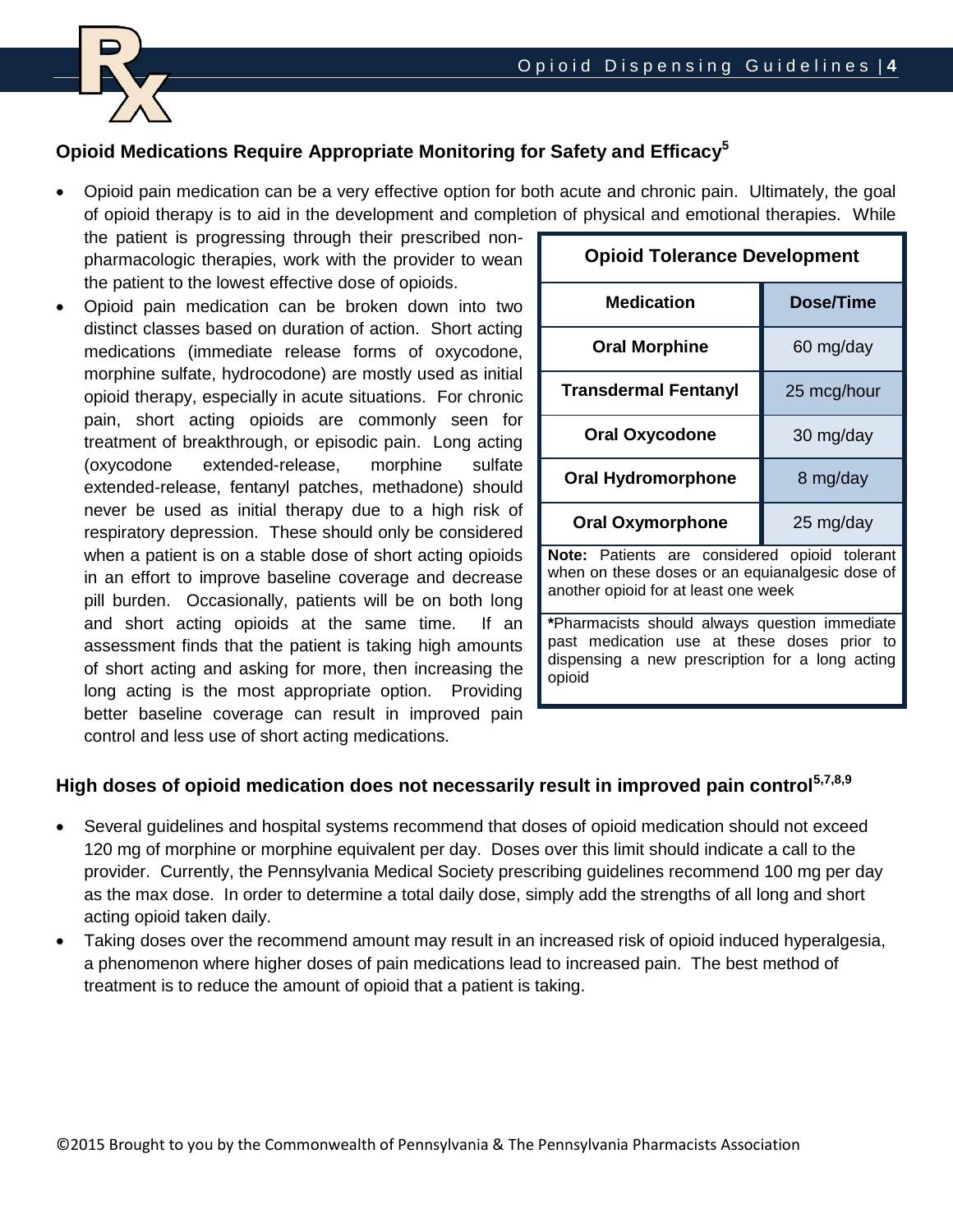

# **Opioid Medications Require Appropriate Monitoring for Safety and Efficacy<sup>5</sup>**

 Opioid pain medication can be a very effective option for both acute and chronic pain. Ultimately, the goal of opioid therapy is to aid in the development and completion of physical and emotional therapies. While

the patient is progressing through their prescribed nonpharmacologic therapies, work with the provider to wean the patient to the lowest effective dose of opioids.

 Opioid pain medication can be broken down into two distinct classes based on duration of action. Short acting medications (immediate release forms of oxycodone, morphine sulfate, hydrocodone) are mostly used as initial opioid therapy, especially in acute situations. For chronic pain, short acting opioids are commonly seen for treatment of breakthrough, or episodic pain. Long acting (oxycodone extended-release, morphine sulfate extended-release, fentanyl patches, methadone) should never be used as initial therapy due to a high risk of respiratory depression. These should only be considered when a patient is on a stable dose of short acting opioids in an effort to improve baseline coverage and decrease pill burden. Occasionally, patients will be on both long and short acting opioids at the same time. If an assessment finds that the patient is taking high amounts of short acting and asking for more, then increasing the long acting is the most appropriate option. Providing better baseline coverage can result in improved pain control and less use of short acting medications.

| <b>Opioid Tolerance Development</b>                                                                                                             |                  |  |  |  |
|-------------------------------------------------------------------------------------------------------------------------------------------------|------------------|--|--|--|
| <b>Medication</b>                                                                                                                               | <b>Dose/Time</b> |  |  |  |
| <b>Oral Morphine</b>                                                                                                                            | 60 mg/day        |  |  |  |
| <b>Transdermal Fentanyl</b>                                                                                                                     | 25 mcg/hour      |  |  |  |
| <b>Oral Oxycodone</b>                                                                                                                           | 30 mg/day        |  |  |  |
| <b>Oral Hydromorphone</b>                                                                                                                       | 8 mg/day         |  |  |  |
| <b>Oral Oxymorphone</b>                                                                                                                         | 25 mg/day        |  |  |  |
| <b>Note:</b> Patients are considered opioid tolerant<br>when on these doses or an equianalgesic dose of<br>another opioid for at least one week |                  |  |  |  |
| *Pharmacists should always question immediate                                                                                                   |                  |  |  |  |

past medication use at these doses prior to dispensing a new prescription for a long acting opioid

# **High doses of opioid medication does not necessarily result in improved pain control5,7,8,9**

- Several guidelines and hospital systems recommend that doses of opioid medication should not exceed 120 mg of morphine or morphine equivalent per day. Doses over this limit should indicate a call to the provider. Currently, the Pennsylvania Medical Society prescribing guidelines recommend 100 mg per day as the max dose. In order to determine a total daily dose, simply add the strengths of all long and short acting opioid taken daily.
- Taking doses over the recommend amount may result in an increased risk of opioid induced hyperalgesia, a phenomenon where higher doses of pain medications lead to increased pain. The best method of treatment is to reduce the amount of opioid that a patient is taking.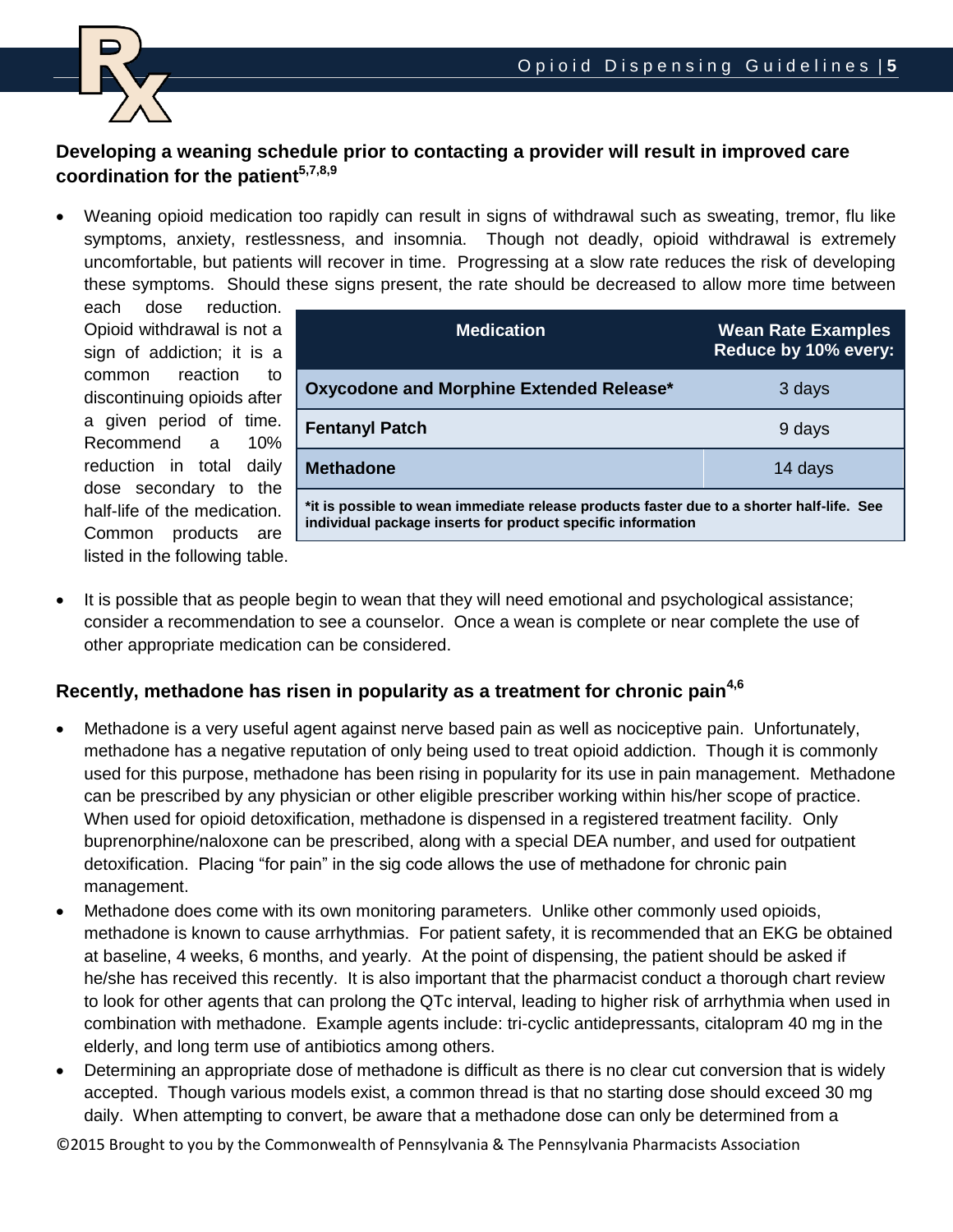

#### **Developing a weaning schedule prior to contacting a provider will result in improved care coordination for the patient5,7,8,9**

 Weaning opioid medication too rapidly can result in signs of withdrawal such as sweating, tremor, flu like symptoms, anxiety, restlessness, and insomnia. Though not deadly, opioid withdrawal is extremely uncomfortable, but patients will recover in time. Progressing at a slow rate reduces the risk of developing these symptoms. Should these signs present, the rate should be decreased to allow more time between

each dose reduction. Opioid withdrawal is not a sign of addiction; it is a common reaction to discontinuing opioids after a given period of time. Recommend a 10% reduction in total daily dose secondary to the half-life of the medication. Common products are listed in the following table.

| <b>Medication</b>                                                                                                                                        | <b>Wean Rate Examples</b><br>Reduce by 10% every: |  |  |  |
|----------------------------------------------------------------------------------------------------------------------------------------------------------|---------------------------------------------------|--|--|--|
| Oxycodone and Morphine Extended Release*                                                                                                                 | 3 days                                            |  |  |  |
| <b>Fentanyl Patch</b>                                                                                                                                    | 9 days                                            |  |  |  |
| <b>Methadone</b>                                                                                                                                         | 14 days                                           |  |  |  |
| *it is possible to wean immediate release products faster due to a shorter half-life. See<br>individual package inserts for product specific information |                                                   |  |  |  |

• It is possible that as people begin to wean that they will need emotional and psychological assistance; consider a recommendation to see a counselor. Once a wean is complete or near complete the use of other appropriate medication can be considered.

#### **Recently, methadone has risen in popularity as a treatment for chronic pain4,6**

- Methadone is a very useful agent against nerve based pain as well as nociceptive pain. Unfortunately, methadone has a negative reputation of only being used to treat opioid addiction. Though it is commonly used for this purpose, methadone has been rising in popularity for its use in pain management. Methadone can be prescribed by any physician or other eligible prescriber working within his/her scope of practice. When used for opioid detoxification, methadone is dispensed in a registered treatment facility. Only buprenorphine/naloxone can be prescribed, along with a special DEA number, and used for outpatient detoxification. Placing "for pain" in the sig code allows the use of methadone for chronic pain management.
- Methadone does come with its own monitoring parameters. Unlike other commonly used opioids, methadone is known to cause arrhythmias. For patient safety, it is recommended that an EKG be obtained at baseline, 4 weeks, 6 months, and yearly. At the point of dispensing, the patient should be asked if he/she has received this recently. It is also important that the pharmacist conduct a thorough chart review to look for other agents that can prolong the QTc interval, leading to higher risk of arrhythmia when used in combination with methadone. Example agents include: tri-cyclic antidepressants, citalopram 40 mg in the elderly, and long term use of antibiotics among others.
- Determining an appropriate dose of methadone is difficult as there is no clear cut conversion that is widely accepted. Though various models exist, a common thread is that no starting dose should exceed 30 mg daily. When attempting to convert, be aware that a methadone dose can only be determined from a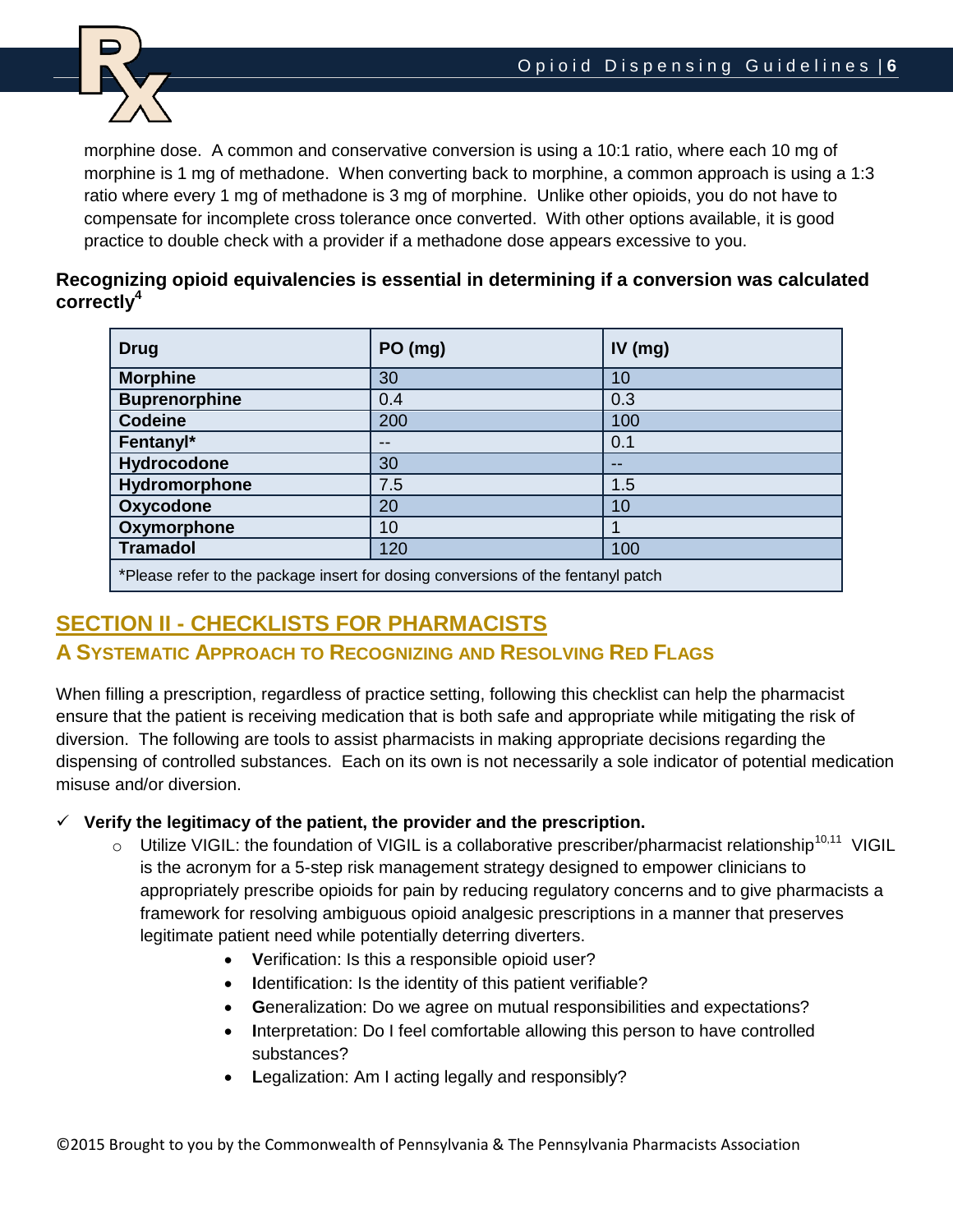

morphine dose. A common and conservative conversion is using a 10:1 ratio, where each 10 mg of morphine is 1 mg of methadone. When converting back to morphine, a common approach is using a 1:3 ratio where every 1 mg of methadone is 3 mg of morphine. Unlike other opioids, you do not have to compensate for incomplete cross tolerance once converted. With other options available, it is good practice to double check with a provider if a methadone dose appears excessive to you.

|                        | Recognizing opioid equivalencies is essential in determining if a conversion was calculated |  |
|------------------------|---------------------------------------------------------------------------------------------|--|
| correctly <sup>4</sup> |                                                                                             |  |

| <b>Drug</b>                                                                                                                   | PO (mg)                | $IV$ (mg) |  |  |
|-------------------------------------------------------------------------------------------------------------------------------|------------------------|-----------|--|--|
| <b>Morphine</b>                                                                                                               | 30                     | 10        |  |  |
| <b>Buprenorphine</b>                                                                                                          | 0.4                    | 0.3       |  |  |
| <b>Codeine</b>                                                                                                                | 200                    | 100       |  |  |
| Fentanyl*                                                                                                                     | $\qquad \qquad \cdots$ | 0.1       |  |  |
| Hydrocodone                                                                                                                   | 30                     | --        |  |  |
| Hydromorphone                                                                                                                 | 7.5                    | 1.5       |  |  |
| Oxycodone                                                                                                                     | 20                     | 10        |  |  |
| Oxymorphone                                                                                                                   | 10                     |           |  |  |
| <b>Tramadol</b>                                                                                                               | 120                    | 100       |  |  |
| $+ -$<br>the contract of the contract of the contract of the contract of the contract of the contract of the contract of<br>. |                        |           |  |  |

\*Please refer to the package insert for dosing conversions of the fentanyl patch

# **SECTION II - CHECKLISTS FOR PHARMACISTS**

# **A SYSTEMATIC APPROACH TO RECOGNIZING AND RESOLVING RED FLAGS**

When filling a prescription, regardless of practice setting, following this checklist can help the pharmacist ensure that the patient is receiving medication that is both safe and appropriate while mitigating the risk of diversion. The following are tools to assist pharmacists in making appropriate decisions regarding the dispensing of controlled substances. Each on its own is not necessarily a sole indicator of potential medication misuse and/or diversion.

#### **Verify the legitimacy of the patient, the provider and the prescription.**

- $\circ$  Utilize VIGIL: the foundation of VIGIL is a collaborative prescriber/pharmacist relationship<sup>10,11</sup> VIGIL is the acronym for a 5-step risk management strategy designed to empower clinicians to appropriately prescribe opioids for pain by reducing regulatory concerns and to give pharmacists a framework for resolving ambiguous opioid analgesic prescriptions in a manner that preserves legitimate patient need while potentially deterring diverters.
	- **V**erification: Is this a responsible opioid user?
	- Identification: Is the identity of this patient verifiable?
	- **G**eneralization: Do we agree on mutual responsibilities and expectations?
	- Interpretation: Do I feel comfortable allowing this person to have controlled substances?
	- Legalization: Am I acting legally and responsibly?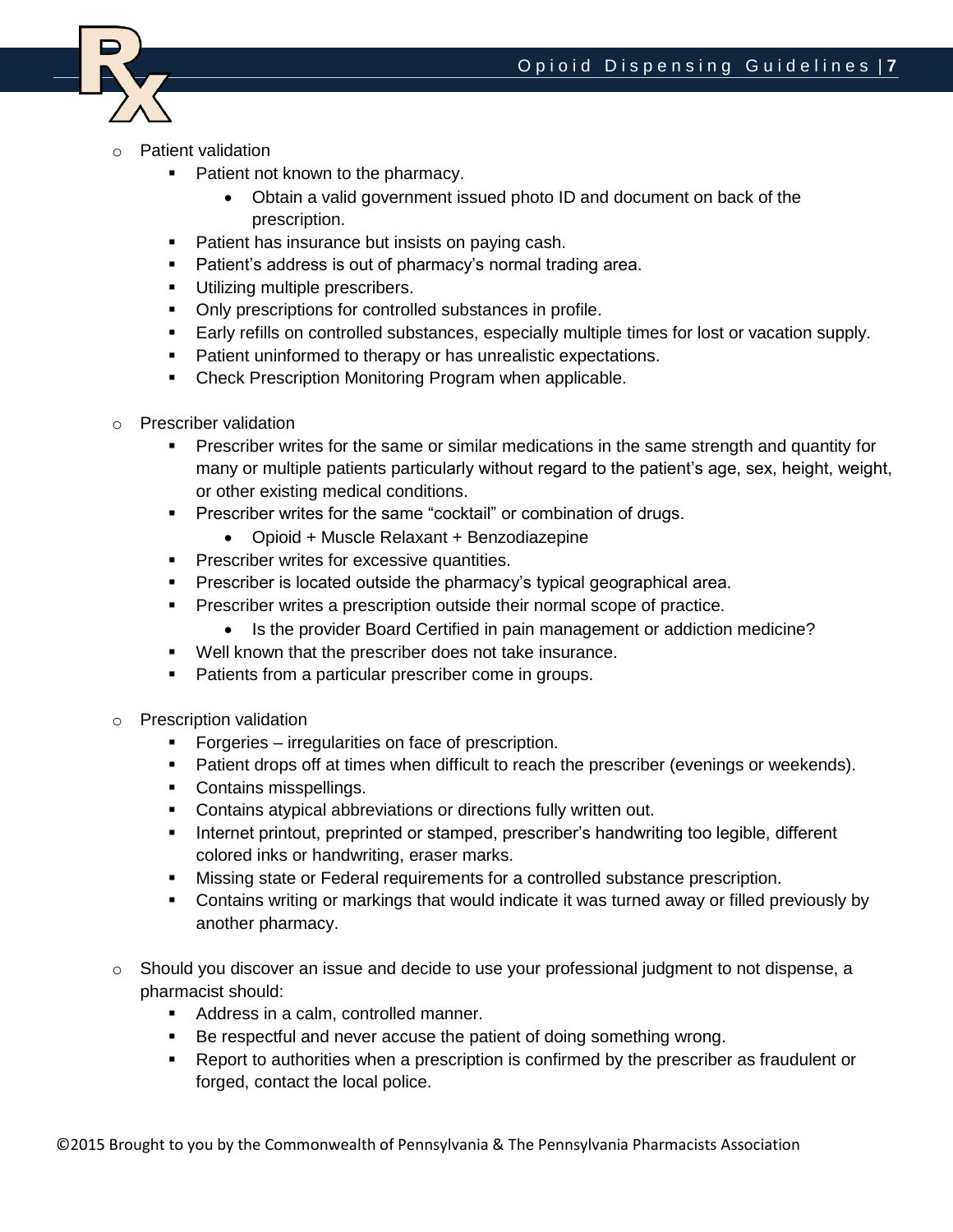

- o Patient validation
	- Patient not known to the pharmacy.
		- Obtain a valid government issued photo ID and document on back of the prescription.
	- **Patient has insurance but insists on paying cash.**
	- **Patient's address is out of pharmacy's normal trading area.**
	- **Utilizing multiple prescribers.**
	- Only prescriptions for controlled substances in profile.
	- **Early refills on controlled substances, especially multiple times for lost or vacation supply.**
	- **Patient uninformed to therapy or has unrealistic expectations.**
	- Check Prescription Monitoring Program when applicable.
- o Prescriber validation
	- Prescriber writes for the same or similar medications in the same strength and quantity for many or multiple patients particularly without regard to the patient's age, sex, height, weight, or other existing medical conditions.
	- **Prescriber writes for the same "cocktail" or combination of drugs.** 
		- Opioid + Muscle Relaxant + Benzodiazepine
	- **Prescriber writes for excessive quantities.**
	- **Prescriber is located outside the pharmacy's typical geographical area.**
	- **Prescriber writes a prescription outside their normal scope of practice.** 
		- Is the provider Board Certified in pain management or addiction medicine?
	- Well known that the prescriber does not take insurance.
	- **Patients from a particular prescriber come in groups.**
- o Prescription validation
	- **Forgeries irregularities on face of prescription.**
	- **Patient drops off at times when difficult to reach the prescriber (evenings or weekends).**
	- **Contains misspellings.**
	- Contains atypical abbreviations or directions fully written out.
	- Internet printout, preprinted or stamped, prescriber's handwriting too legible, different colored inks or handwriting, eraser marks.
	- Missing state or Federal requirements for a controlled substance prescription.
	- Contains writing or markings that would indicate it was turned away or filled previously by another pharmacy.
- $\circ$  Should you discover an issue and decide to use your professional judgment to not dispense, a pharmacist should:
	- Address in a calm, controlled manner.
	- Be respectful and never accuse the patient of doing something wrong.
	- Report to authorities when a prescription is confirmed by the prescriber as fraudulent or forged, contact the local police.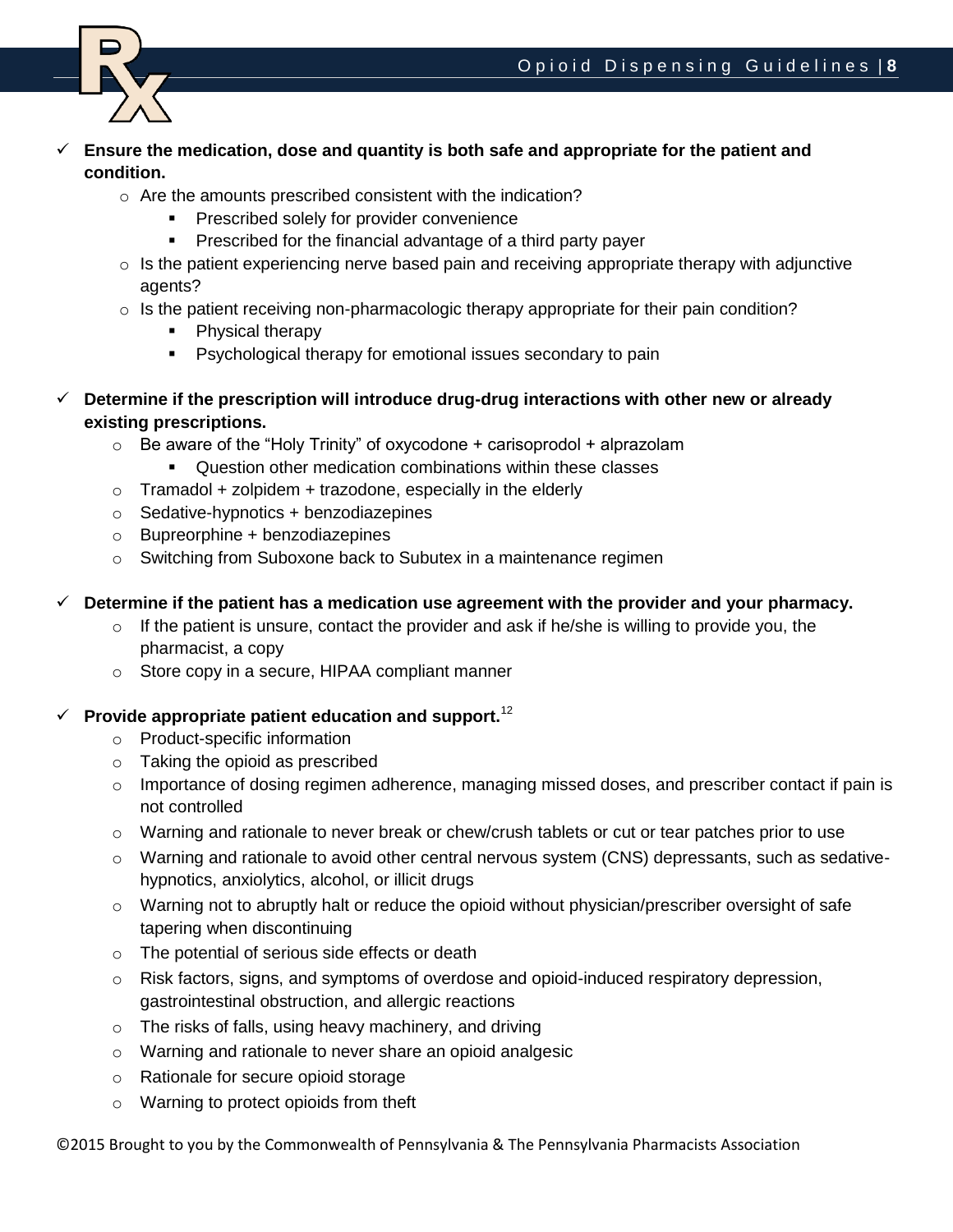

- $\checkmark$  Ensure the medication, dose and quantity is both safe and appropriate for the patient and **condition.**
	- o Are the amounts prescribed consistent with the indication?
		- **Prescribed solely for provider convenience**
		- **Prescribed for the financial advantage of a third party payer**
	- $\circ$  Is the patient experiencing nerve based pain and receiving appropriate therapy with adjunctive agents?
	- $\circ$  Is the patient receiving non-pharmacologic therapy appropriate for their pain condition?
		- Physical therapy
		- **P** Psychological therapy for emotional issues secondary to pain
- **Determine if the prescription will introduce drug-drug interactions with other new or already existing prescriptions.**
	- $\circ$  Be aware of the "Holy Trinity" of oxycodone + carisoprodol + alprazolam
		- Question other medication combinations within these classes
	- $\circ$  Tramadol + zolpidem + trazodone, especially in the elderly
	- $\circ$  Sedative-hypnotics + benzodiazepines
	- $\circ$  Bupreorphine + benzodiazepines
	- o Switching from Suboxone back to Subutex in a maintenance regimen

#### **Determine if the patient has a medication use agreement with the provider and your pharmacy.**

- $\circ$  If the patient is unsure, contact the provider and ask if he/she is willing to provide you, the pharmacist, a copy
- o Store copy in a secure, HIPAA compliant manner

#### $\checkmark$  Provide appropriate patient education and support.<sup>12</sup>

- o Product-specific information
- o Taking the opioid as prescribed
- $\circ$  Importance of dosing regimen adherence, managing missed doses, and prescriber contact if pain is not controlled
- $\circ$  Warning and rationale to never break or chew/crush tablets or cut or tear patches prior to use
- $\circ$  Warning and rationale to avoid other central nervous system (CNS) depressants, such as sedativehypnotics, anxiolytics, alcohol, or illicit drugs
- o Warning not to abruptly halt or reduce the opioid without physician/prescriber oversight of safe tapering when discontinuing
- o The potential of serious side effects or death
- $\circ$  Risk factors, signs, and symptoms of overdose and opioid-induced respiratory depression, gastrointestinal obstruction, and allergic reactions
- o The risks of falls, using heavy machinery, and driving
- o Warning and rationale to never share an opioid analgesic
- o Rationale for secure opioid storage
- o Warning to protect opioids from theft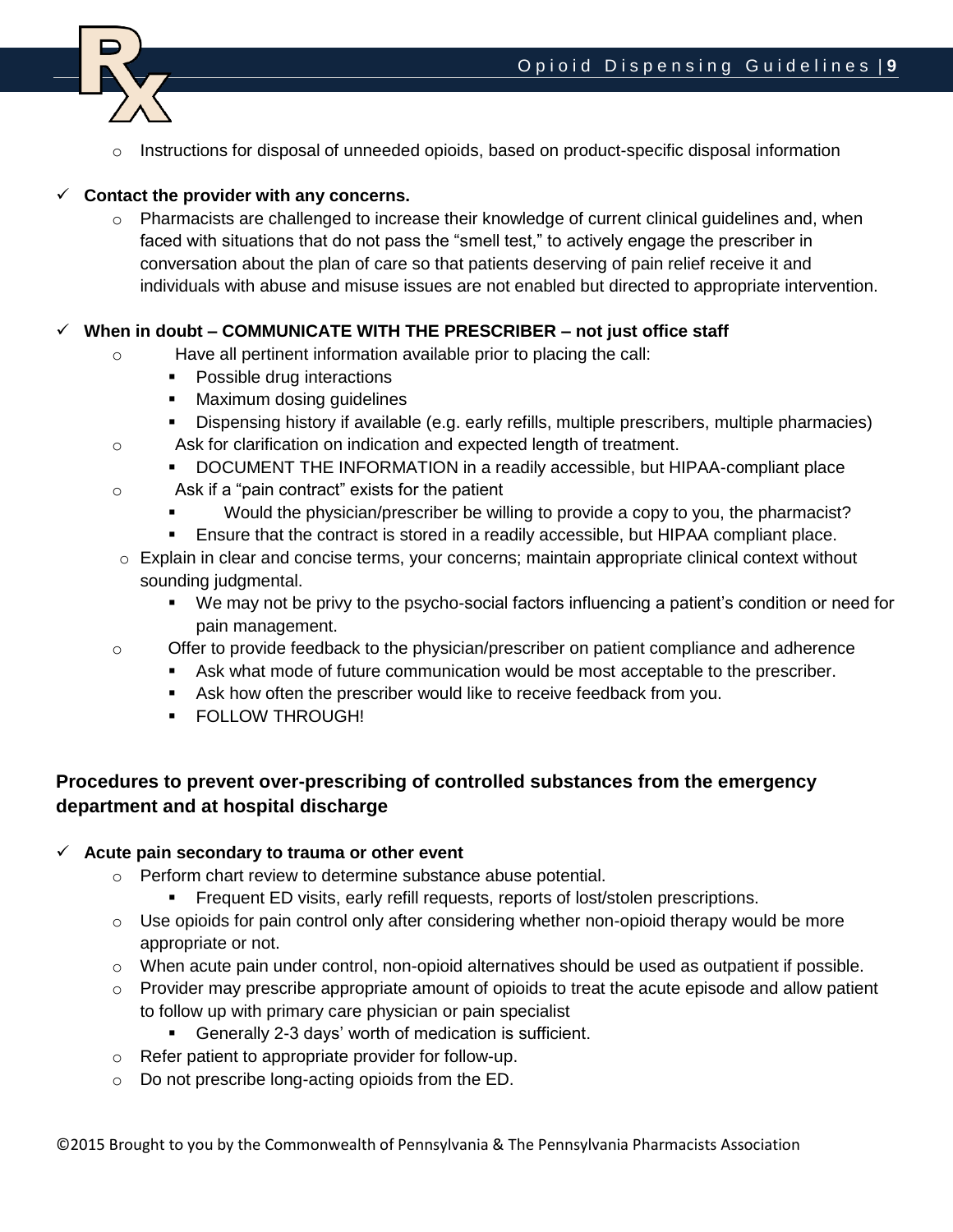

 $\circ$  Instructions for disposal of unneeded opioids, based on product-specific disposal information

#### $\checkmark$  Contact the provider with any concerns.

o Pharmacists are challenged to increase their knowledge of current clinical guidelines and, when faced with situations that do not pass the "smell test," to actively engage the prescriber in conversation about the plan of care so that patients deserving of pain relief receive it and individuals with abuse and misuse issues are not enabled but directed to appropriate intervention.

#### **When in doubt – COMMUNICATE WITH THE PRESCRIBER – not just office staff**

- o Have all pertinent information available prior to placing the call:
	- **Possible drug interactions**
	- **Maximum dosing guidelines**
	- Dispensing history if available (e.g. early refills, multiple prescribers, multiple pharmacies)
- o Ask for clarification on indication and expected length of treatment.
	- DOCUMENT THE INFORMATION in a readily accessible, but HIPAA-compliant place
- o Ask if a "pain contract" exists for the patient
	- Would the physician/prescriber be willing to provide a copy to you, the pharmacist?
	- **Ensure that the contract is stored in a readily accessible, but HIPAA compliant place.**
- $\circ$  Explain in clear and concise terms, your concerns; maintain appropriate clinical context without sounding judgmental.
	- We may not be privy to the psycho-social factors influencing a patient's condition or need for pain management.
- $\circ$  Offer to provide feedback to the physician/prescriber on patient compliance and adherence
	- Ask what mode of future communication would be most acceptable to the prescriber.
	- Ask how often the prescriber would like to receive feedback from you.
	- **FOLLOW THROUGH!**

# **Procedures to prevent over-prescribing of controlled substances from the emergency department and at hospital discharge**

#### $\checkmark$  Acute pain secondary to trauma or other event

- o Perform chart review to determine substance abuse potential.
	- Frequent ED visits, early refill requests, reports of lost/stolen prescriptions.
- o Use opioids for pain control only after considering whether non-opioid therapy would be more appropriate or not.
- o When acute pain under control, non-opioid alternatives should be used as outpatient if possible.
- $\circ$  Provider may prescribe appropriate amount of opioids to treat the acute episode and allow patient to follow up with primary care physician or pain specialist
	- Generally 2-3 days' worth of medication is sufficient.
- o Refer patient to appropriate provider for follow-up.
- o Do not prescribe long-acting opioids from the ED.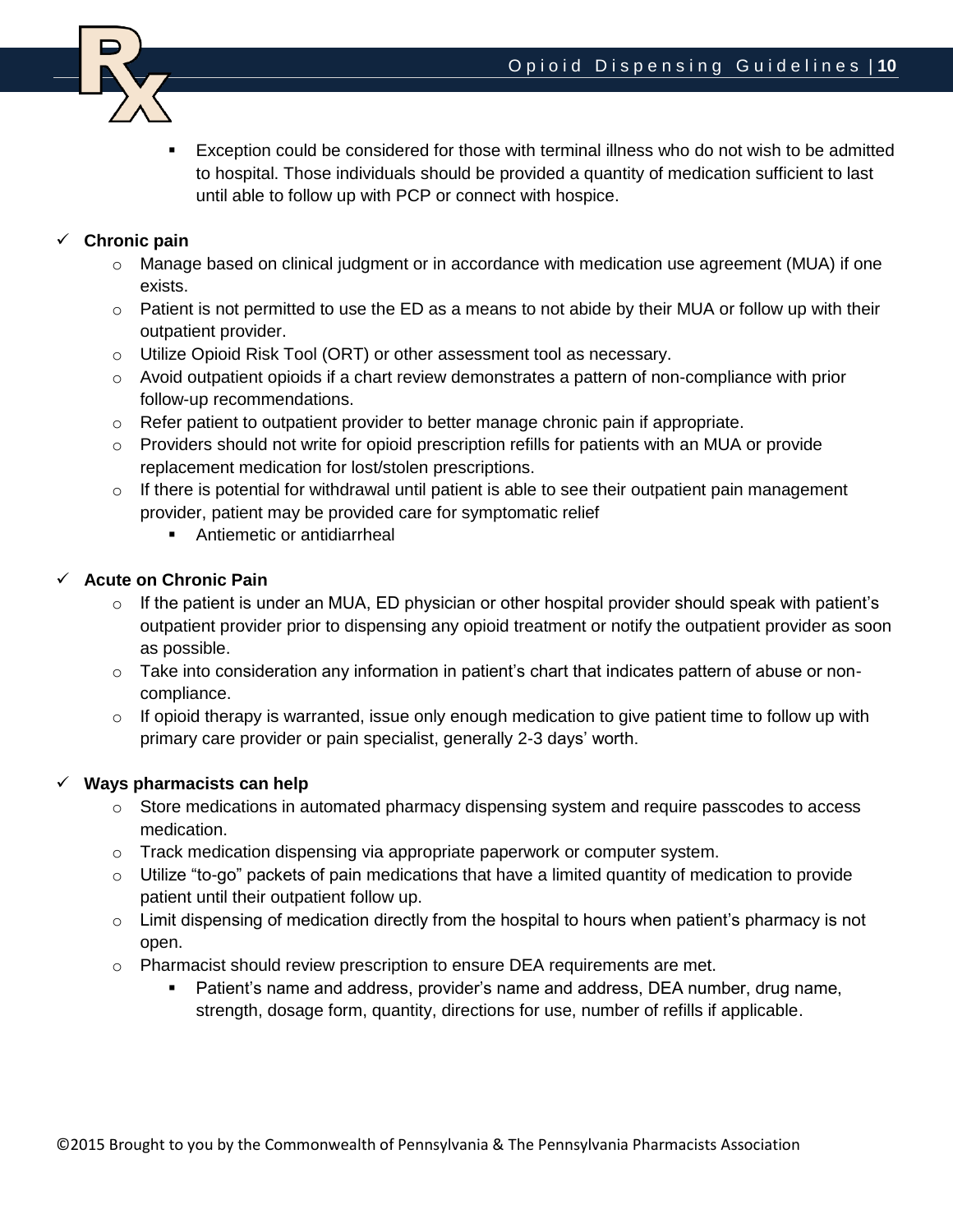

 Exception could be considered for those with terminal illness who do not wish to be admitted to hospital. Those individuals should be provided a quantity of medication sufficient to last until able to follow up with PCP or connect with hospice.

#### **Chronic pain**

- o Manage based on clinical judgment or in accordance with medication use agreement (MUA) if one exists.
- $\circ$  Patient is not permitted to use the ED as a means to not abide by their MUA or follow up with their outpatient provider.
- o Utilize Opioid Risk Tool (ORT) or other assessment tool as necessary.
- $\circ$  Avoid outpatient opioids if a chart review demonstrates a pattern of non-compliance with prior follow-up recommendations.
- $\circ$  Refer patient to outpatient provider to better manage chronic pain if appropriate.
- o Providers should not write for opioid prescription refills for patients with an MUA or provide replacement medication for lost/stolen prescriptions.
- $\circ$  If there is potential for withdrawal until patient is able to see their outpatient pain management provider, patient may be provided care for symptomatic relief
	- **Antiemetic or antidiarrheal**

#### **Acute on Chronic Pain**

- $\circ$  If the patient is under an MUA, ED physician or other hospital provider should speak with patient's outpatient provider prior to dispensing any opioid treatment or notify the outpatient provider as soon as possible.
- $\circ$  Take into consideration any information in patient's chart that indicates pattern of abuse or noncompliance.
- $\circ$  If opioid therapy is warranted, issue only enough medication to give patient time to follow up with primary care provider or pain specialist, generally 2-3 days' worth.

#### **Ways pharmacists can help**

- $\circ$  Store medications in automated pharmacy dispensing system and require passcodes to access medication.
- $\circ$  Track medication dispensing via appropriate paperwork or computer system.
- $\circ$  Utilize "to-go" packets of pain medications that have a limited quantity of medication to provide patient until their outpatient follow up.
- $\circ$  Limit dispensing of medication directly from the hospital to hours when patient's pharmacy is not open.
- o Pharmacist should review prescription to ensure DEA requirements are met.
	- Patient's name and address, provider's name and address, DEA number, drug name, strength, dosage form, quantity, directions for use, number of refills if applicable.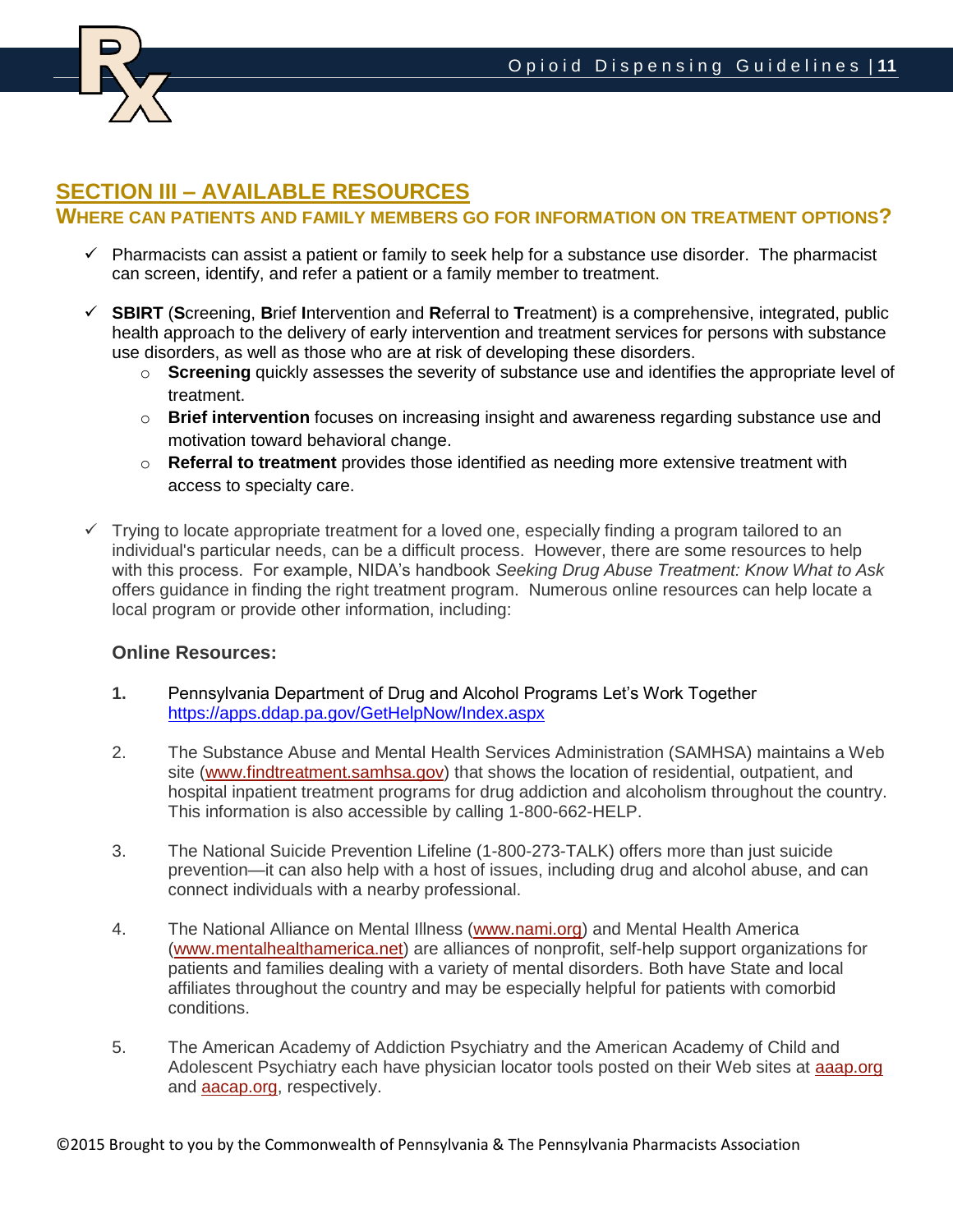

# **SECTION III – AVAILABLE RESOURCES**

#### **WHERE CAN PATIENTS AND FAMILY MEMBERS GO FOR INFORMATION ON TREATMENT OPTIONS?**

- $\checkmark$  Pharmacists can assist a patient or family to seek help for a substance use disorder. The pharmacist can screen, identify, and refer a patient or a family member to treatment.
- **SBIRT** (**S**creening, **B**rief **I**ntervention and **R**eferral to **T**reatment) is a comprehensive, integrated, public health approach to the delivery of early intervention and treatment services for persons with substance use disorders, as well as those who are at risk of developing these disorders.
	- o **Screening** quickly assesses the severity of substance use and identifies the appropriate level of treatment.
	- o **Brief intervention** focuses on increasing insight and awareness regarding substance use and motivation toward behavioral change.
	- o **Referral to treatment** provides those identified as needing more extensive treatment with access to specialty care.
- $\checkmark$  Trying to locate appropriate treatment for a loved one, especially finding a program tailored to an individual's particular needs, can be a difficult process. However, there are some resources to help with this process. For example, NIDA's handbook *Seeking Drug Abuse Treatment: Know What to Ask* offers guidance in finding the right treatment program. Numerous online resources can help locate a local program or provide other information, including:

#### **Online Resources:**

- **1.** Pennsylvania Department of Drug and Alcohol Programs Let's Work Together <https://apps.ddap.pa.gov/GetHelpNow/Index.aspx>
- 2. The Substance Abuse and Mental Health Services Administration (SAMHSA) maintains a Web site [\(www.findtreatment.samhsa.gov\)](http://www.findtreatment.samhsa.gov/) that shows the location of residential, outpatient, and hospital inpatient treatment programs for drug addiction and alcoholism throughout the country. This information is also accessible by calling 1-800-662-HELP.
- 3. The National Suicide Prevention Lifeline (1-800-273-TALK) offers more than just suicide prevention—it can also help with a host of issues, including drug and alcohol abuse, and can connect individuals with a nearby professional.
- 4. The National Alliance on Mental Illness [\(www.nami.org\)](http://www.nami.org/) and Mental Health America [\(www.mentalhealthamerica.net\)](http://www.mentalhealthamerica.net/) are alliances of nonprofit, self-help support organizations for patients and families dealing with a variety of mental disorders. Both have State and local affiliates throughout the country and may be especially helpful for patients with comorbid conditions.
- 5. The American Academy of Addiction Psychiatry and the American Academy of Child and Adolescent Psychiatry each have physician locator tools posted on their Web sites at [aaap.org](http://www.aaap.org/) and [aacap.org,](http://www.aacap.org/) respectively.